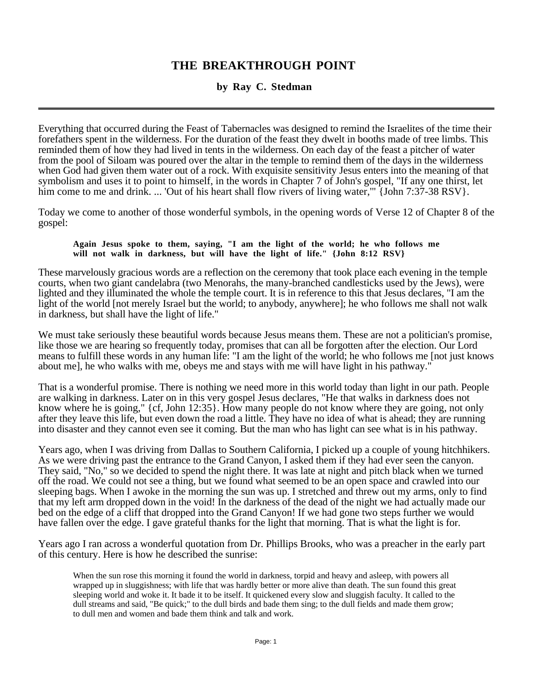## **THE BREAKTHROUGH POINT**

## **by Ray C. Stedman**

Everything that occurred during the Feast of Tabernacles was designed to remind the Israelites of the time their forefathers spent in the wilderness. For the duration of the feast they dwelt in booths made of tree limbs. This reminded them of how they had lived in tents in the wilderness. On each day of the feast a pitcher of water from the pool of Siloam was poured over the altar in the temple to remind them of the days in the wilderness when God had given them water out of a rock. With exquisite sensitivity Jesus enters into the meaning of that symbolism and uses it to point to himself, in the words in Chapter 7 of John's gospel, "If any one thirst, let him come to me and drink. ... 'Out of his heart shall flow rivers of living water,'" {John 7:37-38 RSV}.

Today we come to another of those wonderful symbols, in the opening words of Verse 12 of Chapter 8 of the gospel:

## **Again Jesus spoke to them, saying, "I am the light of the world; he who follows me will not walk in darkness, but will have the light of life." {John 8:12 RSV}**

These marvelously gracious words are a reflection on the ceremony that took place each evening in the temple courts, when two giant candelabra (two Menorahs, the many-branched candlesticks used by the Jews), were lighted and they illuminated the whole the temple court. It is in reference to this that Jesus declares, "I am the light of the world [not merely Israel but the world; to anybody, anywhere]; he who follows me shall not walk in darkness, but shall have the light of life."

We must take seriously these beautiful words because Jesus means them. These are not a politician's promise, like those we are hearing so frequently today, promises that can all be forgotten after the election. Our Lord means to fulfill these words in any human life: "I am the light of the world; he who follows me [not just knows about me], he who walks with me, obeys me and stays with me will have light in his pathway."

That is a wonderful promise. There is nothing we need more in this world today than light in our path. People are walking in darkness. Later on in this very gospel Jesus declares, "He that walks in darkness does not know where he is going," {cf, John 12:35}. How many people do not know where they are going, not only after they leave this life, but even down the road a little. They have no idea of what is ahead; they are running into disaster and they cannot even see it coming. But the man who has light can see what is in his pathway.

Years ago, when I was driving from Dallas to Southern California, I picked up a couple of young hitchhikers. As we were driving past the entrance to the Grand Canyon, I asked them if they had ever seen the canyon. They said, "No," so we decided to spend the night there. It was late at night and pitch black when we turned off the road. We could not see a thing, but we found what seemed to be an open space and crawled into our sleeping bags. When I awoke in the morning the sun was up. I stretched and threw out my arms, only to find that my left arm dropped down in the void! In the darkness of the dead of the night we had actually made our bed on the edge of a cliff that dropped into the Grand Canyon! If we had gone two steps further we would have fallen over the edge. I gave grateful thanks for the light that morning. That is what the light is for.

Years ago I ran across a wonderful quotation from Dr. Phillips Brooks, who was a preacher in the early part of this century. Here is how he described the sunrise:

When the sun rose this morning it found the world in darkness, torpid and heavy and asleep, with powers all wrapped up in sluggishness; with life that was hardly better or more alive than death. The sun found this great sleeping world and woke it. It bade it to be itself. It quickened every slow and sluggish faculty. It called to the dull streams and said, "Be quick;" to the dull birds and bade them sing; to the dull fields and made them grow; to dull men and women and bade them think and talk and work.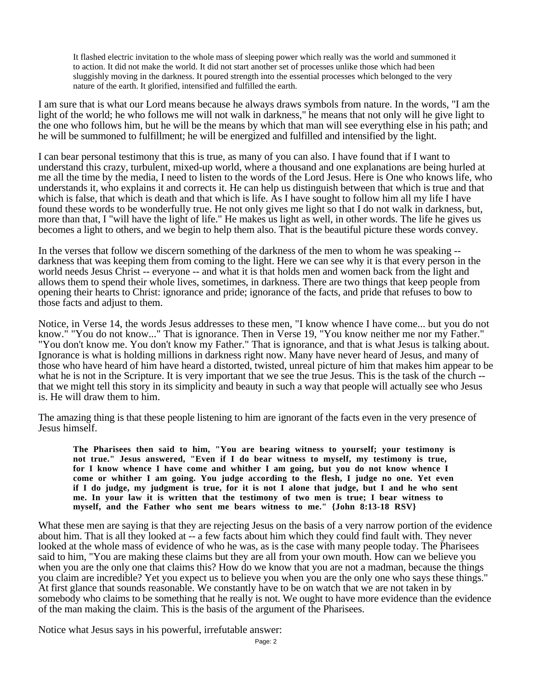It flashed electric invitation to the whole mass of sleeping power which really was the world and summoned it to action. It did not make the world. It did not start another set of processes unlike those which had been sluggishly moving in the darkness. It poured strength into the essential processes which belonged to the very nature of the earth. It glorified, intensified and fulfilled the earth.

I am sure that is what our Lord means because he always draws symbols from nature. In the words, "I am the light of the world; he who follows me will not walk in darkness," he means that not only will he give light to the one who follows him, but he will be the means by which that man will see everything else in his path; and he will be summoned to fulfillment; he will be energized and fulfilled and intensified by the light.

I can bear personal testimony that this is true, as many of you can also. I have found that if I want to understand this crazy, turbulent, mixed-up world, where a thousand and one explanations are being hurled at me all the time by the media, I need to listen to the words of the Lord Jesus. Here is One who knows life, who understands it, who explains it and corrects it. He can help us distinguish between that which is true and that which is false, that which is death and that which is life. As I have sought to follow him all my life I have found these words to be wonderfully true. He not only gives me light so that I do not walk in darkness, but, more than that, I "will have the light of life." He makes us light as well, in other words. The life he gives us becomes a light to others, and we begin to help them also. That is the beautiful picture these words convey.

In the verses that follow we discern something of the darkness of the men to whom he was speaking - darkness that was keeping them from coming to the light. Here we can see why it is that every person in the world needs Jesus Christ -- everyone -- and what it is that holds men and women back from the light and allows them to spend their whole lives, sometimes, in darkness. There are two things that keep people from opening their hearts to Christ: ignorance and pride; ignorance of the facts, and pride that refuses to bow to those facts and adjust to them.

Notice, in Verse 14, the words Jesus addresses to these men, "I know whence I have come... but you do not know." "You do not know..." That is ignorance. Then in Verse 19, "You know neither me nor my Father." "You don't know me. You don't know my Father." That is ignorance, and that is what Jesus is talking about. Ignorance is what is holding millions in darkness right now. Many have never heard of Jesus, and many of those who have heard of him have heard a distorted, twisted, unreal picture of him that makes him appear to be what he is not in the Scripture. It is very important that we see the true Jesus. This is the task of the church -that we might tell this story in its simplicity and beauty in such a way that people will actually see who Jesus is. He will draw them to him.

The amazing thing is that these people listening to him are ignorant of the facts even in the very presence of Jesus himself.

**The Pharisees then said to him, "You are bearing witness to yourself; your testimony is not true." Jesus answered, "Even if I do bear witness to myself, my testimony is true, for I know whence I have come and whither I am going, but you do not know whence I come or whither I am going. You judge according to the flesh, I judge no one. Yet even if I do judge, my judgment is true, for it is not I alone that judge, but I and he who sent me. In your law it is written that the testimony of two men is true; I bear witness to myself, and the Father who sent me bears witness to me." {John 8:13-18 RSV}**

What these men are saying is that they are rejecting Jesus on the basis of a very narrow portion of the evidence about him. That is all they looked at -- a few facts about him which they could find fault with. They never looked at the whole mass of evidence of who he was, as is the case with many people today. The Pharisees said to him, "You are making these claims but they are all from your own mouth. How can we believe you when you are the only one that claims this? How do we know that you are not a madman, because the things you claim are incredible? Yet you expect us to believe you when you are the only one who says these things." At first glance that sounds reasonable. We constantly have to be on watch that we are not taken in by somebody who claims to be something that he really is not. We ought to have more evidence than the evidence of the man making the claim. This is the basis of the argument of the Pharisees.

Notice what Jesus says in his powerful, irrefutable answer: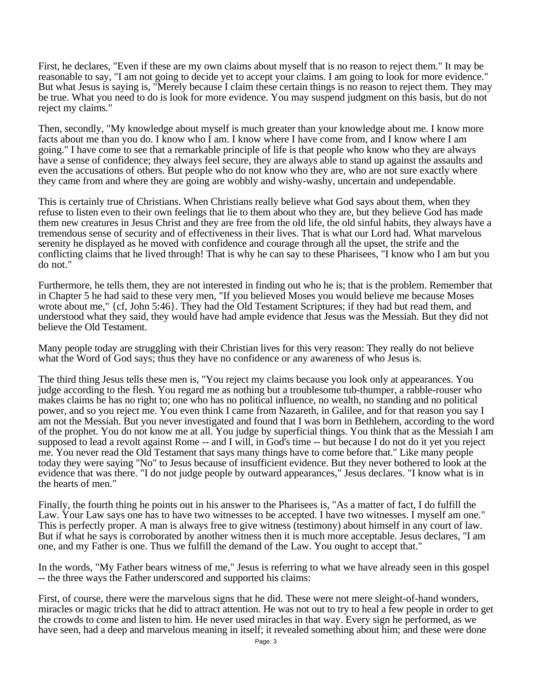First, he declares, "Even if these are my own claims about myself that is no reason to reject them." It may be reasonable to say, "I am not going to decide yet to accept your claims. I am going to look for more evidence." But what Jesus is saying is, "Merely because I claim these certain things is no reason to reject them. They may be true. What you need to do is look for more evidence. You may suspend judgment on this basis, but do not reject my claims."

Then, secondly, "My knowledge about myself is much greater than your knowledge about me. I know more facts about me than you do. I know who I am. I know where I have come from, and I know where I am going." I have come to see that a remarkable principle of life is that people who know who they are always have a sense of confidence; they always feel secure, they are always able to stand up against the assaults and even the accusations of others. But people who do not know who they are, who are not sure exactly where they came from and where they are going are wobbly and wishy-washy, uncertain and undependable.

This is certainly true of Christians. When Christians really believe what God says about them, when they refuse to listen even to their own feelings that lie to them about who they are, but they believe God has made them new creatures in Jesus Christ and they are free from the old life, the old sinful habits, they always have a tremendous sense of security and of effectiveness in their lives. That is what our Lord had. What marvelous serenity he displayed as he moved with confidence and courage through all the upset, the strife and the conflicting claims that he lived through! That is why he can say to these Pharisees, "I know who I am but you do not."

Furthermore, he tells them, they are not interested in finding out who he is; that is the problem. Remember that in Chapter 5 he had said to these very men, "If you believed Moses you would believe me because Moses wrote about me," {cf, John 5:46}. They had the Old Testament Scriptures; if they had but read them, and understood what they said, they would have had ample evidence that Jesus was the Messiah. But they did not believe the Old Testament.

Many people today are struggling with their Christian lives for this very reason: They really do not believe what the Word of God says; thus they have no confidence or any awareness of who Jesus is.

The third thing Jesus tells these men is, "You reject my claims because you look only at appearances. You judge according to the flesh. You regard me as nothing but a troublesome tub-thumper, a rabble-rouser who makes claims he has no right to; one who has no political influence, no wealth, no standing and no political power, and so you reject me. You even think I came from Nazareth, in Galilee, and for that reason you say I am not the Messiah. But you never investigated and found that I was born in Bethlehem, according to the word of the prophet. You do not know me at all. You judge by superficial things. You think that as the Messiah I am supposed to lead a revolt against Rome -- and I will, in God's time -- but because I do not do it yet you reject me. You never read the Old Testament that says many things have to come before that." Like many people today they were saying "No" to Jesus because of insufficient evidence. But they never bothered to look at the evidence that was there. "I do not judge people by outward appearances," Jesus declares. "I know what is in the hearts of men."

Finally, the fourth thing he points out in his answer to the Pharisees is, "As a matter of fact, I do fulfill the Law. Your Law says one has to have two witnesses to be accepted. I have two witnesses. I myself am one." This is perfectly proper. A man is always free to give witness (testimony) about himself in any court of law. But if what he says is corroborated by another witness then it is much more acceptable. Jesus declares, "I am one, and my Father is one. Thus we fulfill the demand of the Law. You ought to accept that."

In the words, "My Father bears witness of me," Jesus is referring to what we have already seen in this gospel -- the three ways the Father underscored and supported his claims:

First, of course, there were the marvelous signs that he did. These were not mere sleight-of-hand wonders, miracles or magic tricks that he did to attract attention. He was not out to try to heal a few people in order to get the crowds to come and listen to him. He never used miracles in that way. Every sign he performed, as we have seen, had a deep and marvelous meaning in itself; it revealed something about him; and these were done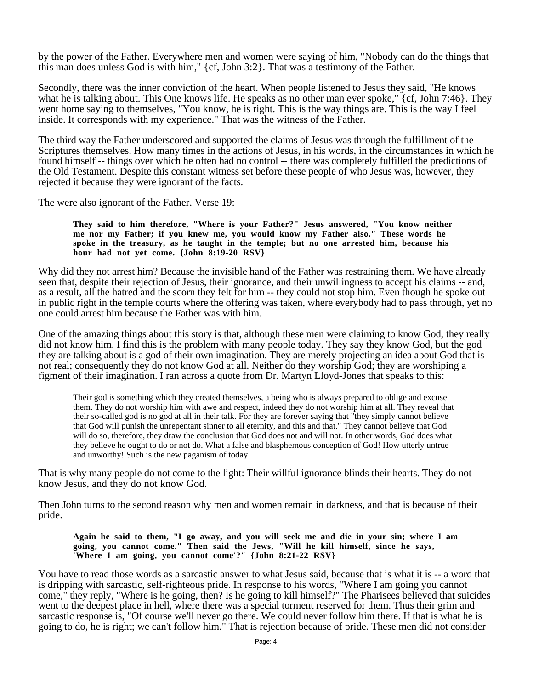by the power of the Father. Everywhere men and women were saying of him, "Nobody can do the things that this man does unless God is with him," {cf, John 3:2}. That was a testimony of the Father.

Secondly, there was the inner conviction of the heart. When people listened to Jesus they said, "He knows what he is talking about. This One knows life. He speaks as no other man ever spoke," {cf, John 7:46}. They went home saying to themselves, "You know, he is right. This is the way things are. This is the way I feel inside. It corresponds with my experience." That was the witness of the Father.

The third way the Father underscored and supported the claims of Jesus was through the fulfillment of the Scriptures themselves. How many times in the actions of Jesus, in his words, in the circumstances in which he found himself -- things over which he often had no control -- there was completely fulfilled the predictions of the Old Testament. Despite this constant witness set before these people of who Jesus was, however, they rejected it because they were ignorant of the facts.

The were also ignorant of the Father. Verse 19:

**They said to him therefore, "Where is your Father?" Jesus answered, "You know neither me nor my Father; if you knew me, you would know my Father also." These words he spoke in the treasury, as he taught in the temple; but no one arrested him, because his hour had not yet come. {John 8:19-20 RSV}**

Why did they not arrest him? Because the invisible hand of the Father was restraining them. We have already seen that, despite their rejection of Jesus, their ignorance, and their unwillingness to accept his claims -- and, as a result, all the hatred and the scorn they felt for him -- they could not stop him. Even though he spoke out in public right in the temple courts where the offering was taken, where everybody had to pass through, yet no one could arrest him because the Father was with him.

One of the amazing things about this story is that, although these men were claiming to know God, they really did not know him. I find this is the problem with many people today. They say they know God, but the god they are talking about is a god of their own imagination. They are merely projecting an idea about God that is not real; consequently they do not know God at all. Neither do they worship God; they are worshiping a figment of their imagination. I ran across a quote from Dr. Martyn Lloyd-Jones that speaks to this:

Their god is something which they created themselves, a being who is always prepared to oblige and excuse them. They do not worship him with awe and respect, indeed they do not worship him at all. They reveal that their so-called god is no god at all in their talk. For they are forever saying that "they simply cannot believe that God will punish the unrepentant sinner to all eternity, and this and that." They cannot believe that God will do so, therefore, they draw the conclusion that God does not and will not. In other words, God does what they believe he ought to do or not do. What a false and blasphemous conception of God! How utterly untrue and unworthy! Such is the new paganism of today.

That is why many people do not come to the light: Their willful ignorance blinds their hearts. They do not know Jesus, and they do not know God.

Then John turns to the second reason why men and women remain in darkness, and that is because of their pride.

**Again he said to them, "I go away, and you will seek me and die in your sin; where I am going, you cannot come." Then said the Jews, "Will he kill himself, since he says, 'Where I am going, you cannot come'?" {John 8:21-22 RSV}**

You have to read those words as a sarcastic answer to what Jesus said, because that is what it is -- a word that is dripping with sarcastic, self-righteous pride. In response to his words, "Where I am going you cannot come," they reply, "Where is he going, then? Is he going to kill himself?" The Pharisees believed that suicides went to the deepest place in hell, where there was a special torment reserved for them. Thus their grim and sarcastic response is, "Of course we'll never go there. We could never follow him there. If that is what he is going to do, he is right; we can't follow him." That is rejection because of pride. These men did not consider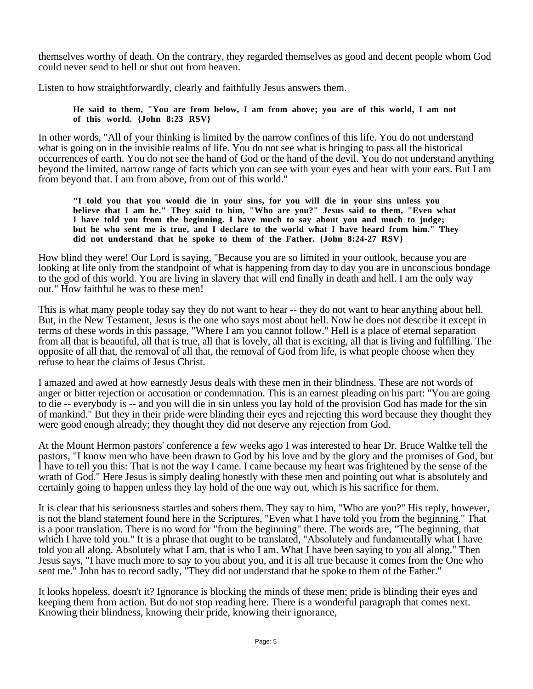themselves worthy of death. On the contrary, they regarded themselves as good and decent people whom God could never send to hell or shut out from heaven.

Listen to how straightforwardly, clearly and faithfully Jesus answers them.

**He said to them, "You are from below, I am from above; you are of this world, I am not of this world. {John 8:23 RSV}**

In other words, "All of your thinking is limited by the narrow confines of this life. You do not understand what is going on in the invisible realms of life. You do not see what is bringing to pass all the historical occurrences of earth. You do not see the hand of God or the hand of the devil. You do not understand anything beyond the limited, narrow range of facts which you can see with your eyes and hear with your ears. But I am from beyond that. I am from above, from out of this world."

**"I told you that you would die in your sins, for you will die in your sins unless you believe that I am he." They said to him, "Who are you?" Jesus said to them, "Even what I have told you from the beginning. I have much to say about you and much to judge; but he who sent me is true, and I declare to the world what I have heard from him." They did not understand that he spoke to them of the Father. {John 8:24-27 RSV}**

How blind they were! Our Lord is saying, "Because you are so limited in your outlook, because you are looking at life only from the standpoint of what is happening from day to day you are in unconscious bondage to the god of this world. You are living in slavery that will end finally in death and hell. I am the only way out." How faithful he was to these men!

This is what many people today say they do not want to hear -- they do not want to hear anything about hell. But, in the New Testament, Jesus is the one who says most about hell. Now he does not describe it except in terms of these words in this passage, "Where I am you cannot follow." Hell is a place of eternal separation from all that is beautiful, all that is true, all that is lovely, all that is exciting, all that is living and fulfilling. The opposite of all that, the removal of all that, the removal of God from life, is what people choose when they refuse to hear the claims of Jesus Christ.

I amazed and awed at how earnestly Jesus deals with these men in their blindness. These are not words of anger or bitter rejection or accusation or condemnation. This is an earnest pleading on his part: "You are going to die -- everybody is -- and you will die in sin unless you lay hold of the provision God has made for the sin of mankind." But they in their pride were blinding their eyes and rejecting this word because they thought they were good enough already; they thought they did not deserve any rejection from God.

At the Mount Hermon pastors' conference a few weeks ago I was interested to hear Dr. Bruce Waltke tell the pastors, "I know men who have been drawn to God by his love and by the glory and the promises of God, but I have to tell you this: That is not the way I came. I came because my heart was frightened by the sense of the wrath of God." Here Jesus is simply dealing honestly with these men and pointing out what is absolutely and certainly going to happen unless they lay hold of the one way out, which is his sacrifice for them.

It is clear that his seriousness startles and sobers them. They say to him, "Who are you?" His reply, however, is not the bland statement found here in the Scriptures, "Even what I have told you from the beginning." That is a poor translation. There is no word for "from the beginning" there. The words are, "The beginning, that which I have told you." It is a phrase that ought to be translated, "Absolutely and fundamentally what I have told you all along. Absolutely what I am, that is who I am. What I have been saying to you all along." Then Jesus says, "I have much more to say to you about you, and it is all true because it comes from the One who sent me." John has to record sadly, "They did not understand that he spoke to them of the Father."

It looks hopeless, doesn't it? Ignorance is blocking the minds of these men; pride is blinding their eyes and keeping them from action. But do not stop reading here. There is a wonderful paragraph that comes next. Knowing their blindness, knowing their pride, knowing their ignorance,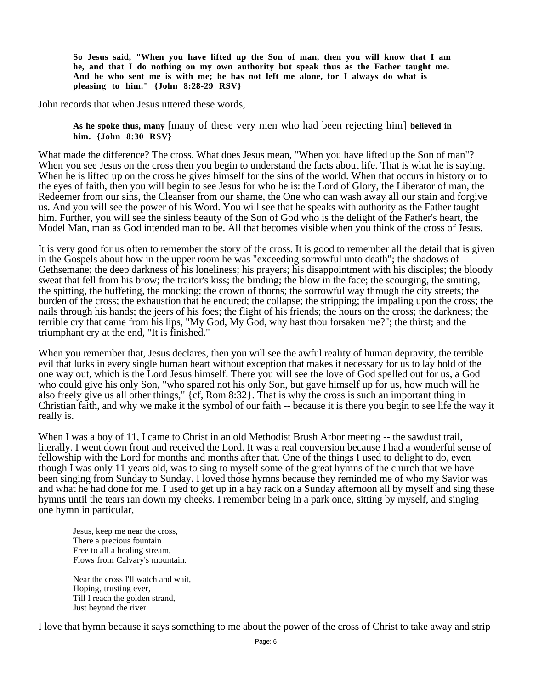**So Jesus said, "When you have lifted up the Son of man, then you will know that I am he, and that I do nothing on my own authority but speak thus as the Father taught me. And he who sent me is with me; he has not left me alone, for I always do what is pleasing to him." {John 8:28-29 RSV}**

John records that when Jesus uttered these words,

**As he spoke thus, many** [many of these very men who had been rejecting him] **believed in him. {John 8:30 RSV}**

What made the difference? The cross. What does Jesus mean, "When you have lifted up the Son of man"? When you see Jesus on the cross then you begin to understand the facts about life. That is what he is saying. When he is lifted up on the cross he gives himself for the sins of the world. When that occurs in history or to the eyes of faith, then you will begin to see Jesus for who he is: the Lord of Glory, the Liberator of man, the Redeemer from our sins, the Cleanser from our shame, the One who can wash away all our stain and forgive us. And you will see the power of his Word. You will see that he speaks with authority as the Father taught him. Further, you will see the sinless beauty of the Son of God who is the delight of the Father's heart, the Model Man, man as God intended man to be. All that becomes visible when you think of the cross of Jesus.

It is very good for us often to remember the story of the cross. It is good to remember all the detail that is given in the Gospels about how in the upper room he was "exceeding sorrowful unto death"; the shadows of Gethsemane; the deep darkness of his loneliness; his prayers; his disappointment with his disciples; the bloody sweat that fell from his brow; the traitor's kiss; the binding; the blow in the face; the scourging, the smiting, the spitting, the buffeting, the mocking; the crown of thorns; the sorrowful way through the city streets; the burden of the cross; the exhaustion that he endured; the collapse; the stripping; the impaling upon the cross; the nails through his hands; the jeers of his foes; the flight of his friends; the hours on the cross; the darkness; the terrible cry that came from his lips, "My God, My God, why hast thou forsaken me?"; the thirst; and the triumphant cry at the end, "It is finished."

When you remember that, Jesus declares, then you will see the awful reality of human depravity, the terrible evil that lurks in every single human heart without exception that makes it necessary for us to lay hold of the one way out, which is the Lord Jesus himself. There you will see the love of God spelled out for us, a God who could give his only Son, "who spared not his only Son, but gave himself up for us, how much will he also freely give us all other things," {cf, Rom 8:32}. That is why the cross is such an important thing in Christian faith, and why we make it the symbol of our faith -- because it is there you begin to see life the way it really is.

When I was a boy of 11, I came to Christ in an old Methodist Brush Arbor meeting -- the sawdust trail, literally. I went down front and received the Lord. It was a real conversion because I had a wonderful sense of fellowship with the Lord for months and months after that. One of the things I used to delight to do, even though I was only 11 years old, was to sing to myself some of the great hymns of the church that we have been singing from Sunday to Sunday. I loved those hymns because they reminded me of who my Savior was and what he had done for me. I used to get up in a hay rack on a Sunday afternoon all by myself and sing these hymns until the tears ran down my cheeks. I remember being in a park once, sitting by myself, and singing one hymn in particular,

Jesus, keep me near the cross, There a precious fountain Free to all a healing stream, Flows from Calvary's mountain.

Near the cross I'll watch and wait, Hoping, trusting ever, Till I reach the golden strand, Just beyond the river.

I love that hymn because it says something to me about the power of the cross of Christ to take away and strip